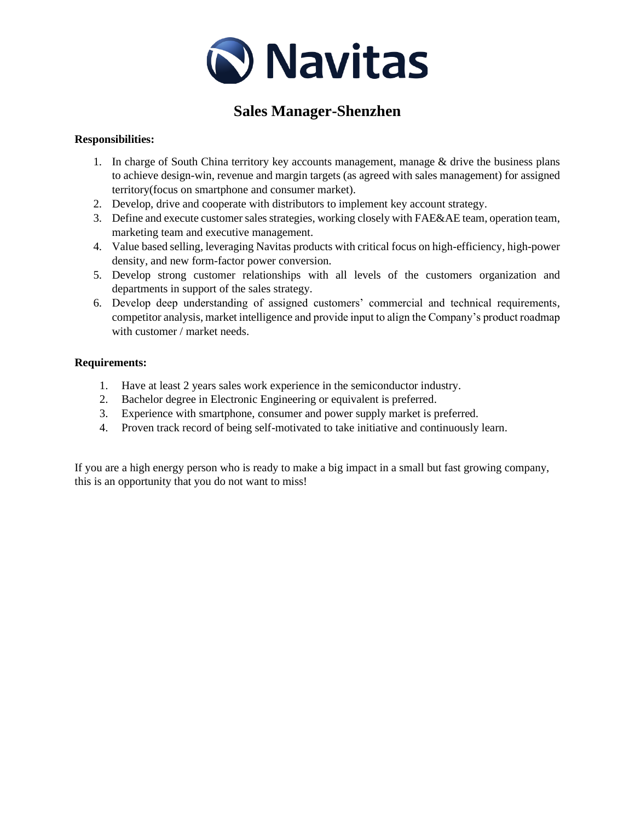

# **Sales Manager-Shenzhen**

#### **Responsibilities:**

- 1. In charge of South China territory key accounts management, manage  $\&$  drive the business plans to achieve design-win, revenue and margin targets (as agreed with sales management) for assigned territory(focus on smartphone and consumer market).
- 2. Develop, drive and cooperate with distributors to implement key account strategy.
- 3. Define and execute customer sales strategies, working closely with FAE&AE team, operation team, marketing team and executive management.
- 4. Value based selling, leveraging Navitas products with critical focus on high-efficiency, high-power density, and new form-factor power conversion.
- 5. Develop strong customer relationships with all levels of the customers organization and departments in support of the sales strategy.
- 6. Develop deep understanding of assigned customers' commercial and technical requirements, competitor analysis, market intelligence and provide input to align the Company's product roadmap with customer / market needs.

#### **Requirements:**

- 1. Have at least 2 years sales work experience in the semiconductor industry.
- 2. Bachelor degree in Electronic Engineering or equivalent is preferred.
- 3. Experience with smartphone, consumer and power supply market is preferred.
- 4. Proven track record of being self-motivated to take initiative and continuously learn.

If you are a high energy person who is ready to make a big impact in a small but fast growing company, this is an opportunity that you do not want to miss!